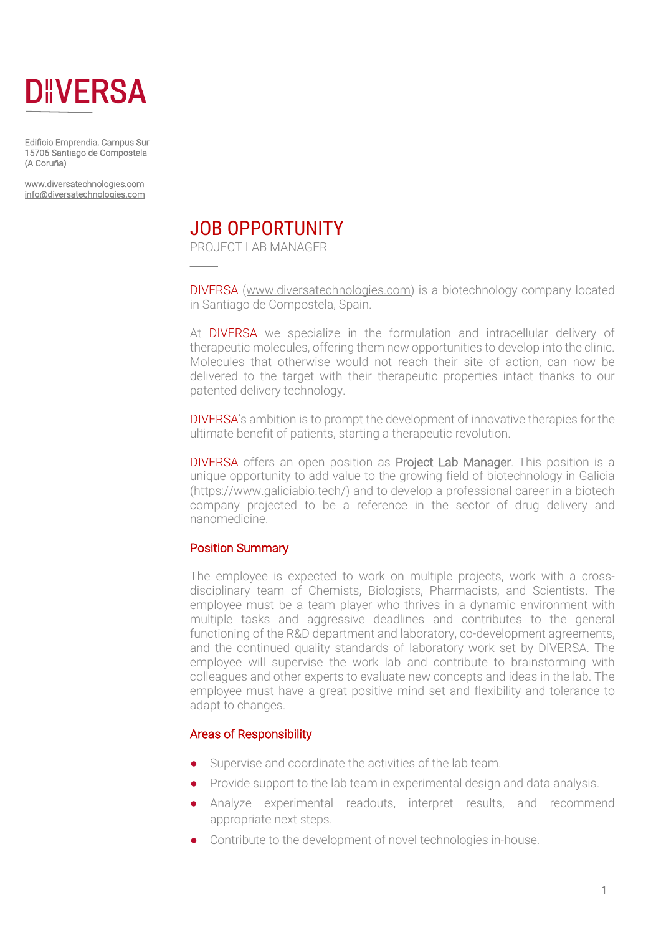

Edificio Emprendia, Campus Sur 15706 Santiago de Compostela (A Coruña)

www.diversatechnologies.com info@diversatechnologies.com



PROJECT LAB MANAGER

 $\overline{\phantom{a}}$ 

DIVERSA (www.diversatechnologies.com) is a biotechnology company located in Santiago de Compostela, Spain.

At DIVERSA we specialize in the formulation and intracellular delivery of therapeutic molecules, offering them new opportunities to develop into the clinic. Molecules that otherwise would not reach their site of action, can now be delivered to the target with their therapeutic properties intact thanks to our patented delivery technology.

DIVERSA's ambition is to prompt the development of innovative therapies for the ultimate benefit of patients, starting a therapeutic revolution.

DIVERSA offers an open position as Project Lab Manager. This position is a unique opportunity to add value to the growing field of biotechnology in Galicia (https://www.galiciabio.tech/) and to develop a professional career in a biotech company projected to be a reference in the sector of drug delivery and nanomedicine.

### Position Summary

The employee is expected to work on multiple projects, work with a crossdisciplinary team of Chemists, Biologists, Pharmacists, and Scientists. The employee must be a team player who thrives in a dynamic environment with multiple tasks and aggressive deadlines and contributes to the general functioning of the R&D department and laboratory, co-development agreements, and the continued quality standards of laboratory work set by DIVERSA. The employee will supervise the work lab and contribute to brainstorming with colleagues and other experts to evaluate new concepts and ideas in the lab. The employee must have a great positive mind set and flexibility and tolerance to adapt to changes.

### Areas of Responsibility

- Supervise and coordinate the activities of the lab team.
- Provide support to the lab team in experimental design and data analysis.
- Analyze experimental readouts, interpret results, and recommend appropriate next steps.
- Contribute to the development of novel technologies in-house.